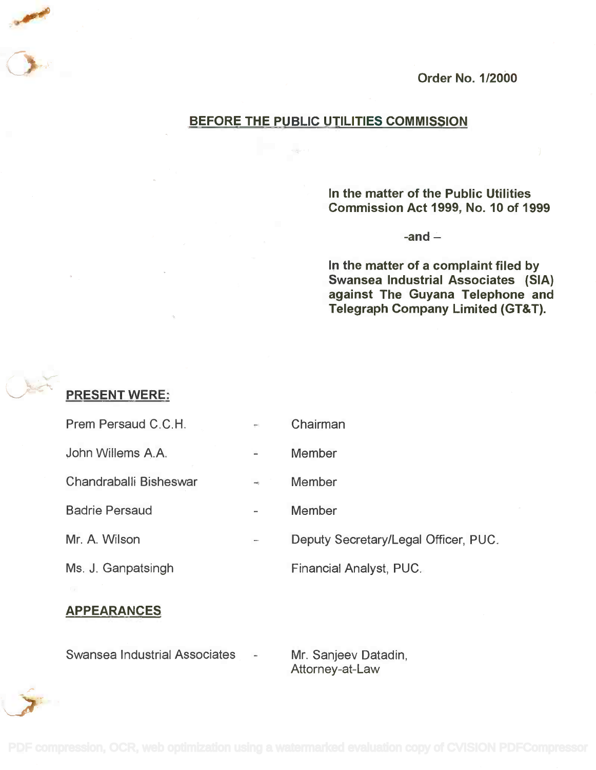

### BEFORE THE PUBLIC UTILITIES COMMISSION

In the matter of the Public Utilities In the matter of the Public Utilities Commission Act 1999, No. 10 of 1999 Commission Act 1999, No.1 0 of 1999

-and

In the matter of a complaint filed by In the matter of a complaint filed by Swansea Industrial Associates (SIA) Swansea Industrial Associates (SIA) against The Guyana Telephone and against The Guyana Telephone and Telegraph Company Limited (GT&T). Telegraph Company Limited (GT&T).

# PRESENT WERE:

| Prem Persaud C.C.H.    | $\frac{1}{2}$            | Chairman                             |
|------------------------|--------------------------|--------------------------------------|
| John Willems A.A.      | $\overline{\phantom{0}}$ | Member                               |
| Chandraballi Bisheswar | $\frac{1}{2}$            | <b>Member</b>                        |
| <b>Badrie Persaud</b>  |                          | <b>Member</b>                        |
| Mr. A. Wilson          |                          | Deputy Secretary/Legal Officer, PUC. |
| Ms. J. Ganpatsingh     |                          | Financial Analyst, PUC.              |
|                        |                          |                                      |

# APPEARANCES

Swansea Industrial Associates

Attorney-at-Law Attorney-at-Law Mr. Sanjeev Datadin,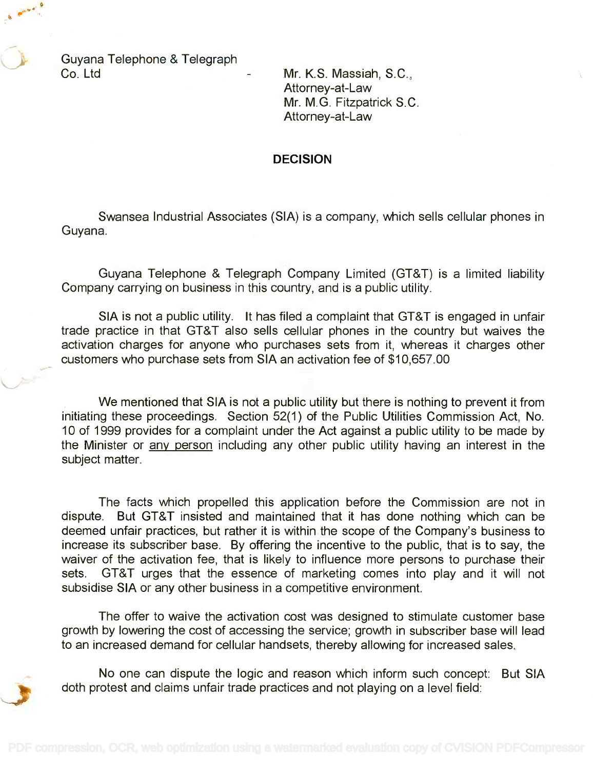Guyana Telephone & Telegraph Guyana Telephone & Telegraph Co. Ltd Mr. K.S. Massiah, S.C., Co. Ltd Mr. K.S. Massiah, S.C.,

Attorney-at-Law Attorney-at-Law Mr. M.G. Fitzpatrick S.C. Mr. M.G. Fitzpatrick S.C. Attorney-at-Law Attorney-at-Law

#### DECISION

Swansea Industrial Associates (SIA) is a company, which sells cellular phones in Swansea Industrial Associates (SIA) is a company, which sells cellular phones in Guyana. Guyana.

Guyana Telephone & Telegraph Company Limited (GT&T) is a limited liability Guyana Telephone & Telegraph Company Limited (GT&T) is a limited liability Company carrying on business in this country, and is a public utility. Company carrying on business in this country, and is a public utility.

SIA is not a public utility. It has filed a complaint that GT&T is engaged in unfair SIA is not a public utility. It has filed a complaint that GT&T is engaged in unfair trade practice in that GT&T also sells cellular phones in the country but waives the trade practice in that GT&T also sells cellular phones in the country but waives the activation charges for anyone who purchases sets from it, whereas it charges other activation charges for anyone who purchases sets from it, whereas it charges other customers who purchase sets from SIA an activation fee of \$10,657.00 customers who purchase sets from SIA an activation fee of \$10,657.00

We mentioned that SIA is not a public utility but there is nothing to prevent it from We mentioned that SIA is not a public utility but there is nothing to prevent it from initiating these proceedings. Section 52(1) of the Public Utilities Commission Act, No. initiating these proceedings. Section 52(1) of the Public Utilities Commission Act, No. 10 of 1999 provides for a complaint under the Act against a public utility to be made by 10 of 1999 provides for a complaint under the Act against a public utility to be made by the Minister or <u>any person</u> including any other public utility having an interest in the subject matter. subject matter.

The facts which propelled this application before the Commission are not in The facts which propelled this application before the Commission are not in dispute. But GT&T insisted and maintained that it has done nothing which can be dispute. But GT&T insisted and maintained that it has done nothing which can be deemed unfair practices, but rather it is within the scope of the Company's business to deemed unfair practices, but rather it is within the scope of the Company's business to increase its subscriber base. By offering the incentive to the public, that is to say, the increase its subscriber base. By offering the incentive to the public, that is to say, the waiver of the activation fee, that is likely to influence more persons to purchase their waiver of the activation fee, that is likely to influence more persons to purchase their sets. GT&T urges that the essence of marketing comes into play and it will not sets. GT&T urges that the essence of marketing comes into play and it will not subsidise SIA or any other business in a competitive environment. subsidise SIA or any other business in a competitive environment.

The offer to waive the activation cost was designed to stimulate customer base The offer to waive the activation cost was designed to stimulate customer base growth by lowering the cost of accessing the service; growth in subscriber base will lead growth by lowering the cost of accessing the service; growth in subscriber base will lead to an increased demand for cellular handsets, thereby allowing for increased sales. to an increased demand for cellular handsets, thereby allowing for increased sales.

No one can dispute the logic and reason which inform such concept: But SIA No one can dispute the logic and reason which inform such concept: But SIA doth protest and claims unfair trade practices and not playing on a level field: doth protest and claims unfair trade practices and not playing on a level field: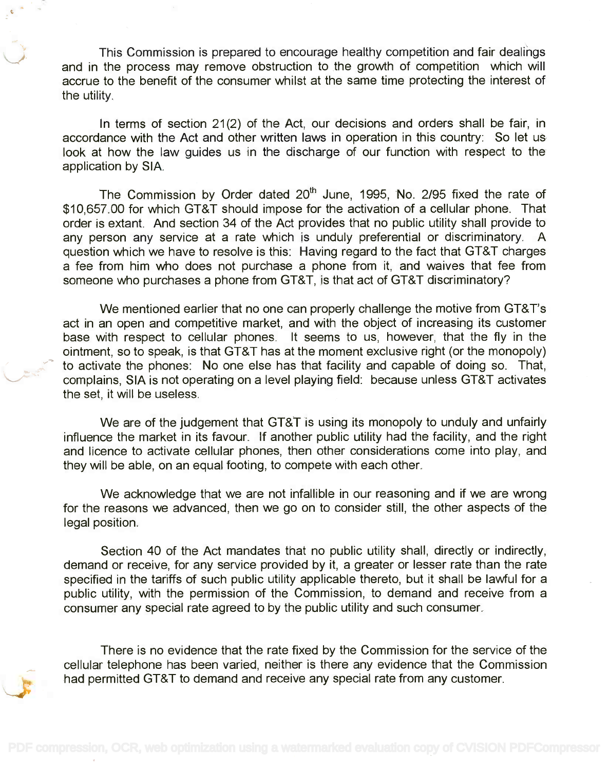This Commission is prepared to encourage healthy competition and fair dealings This Commission is prepared to encourage healthy competition and fair dealings and in the process may remove obstruction to the growth of competition which will and in the process may remove obstruction to the growth of competition which will accrue to the benefit of the consumer whilst at the same time protecting the interest of accrue to the benefit of the consumer whilst at the same time protecting the interest of the utility. the utility.

In terms of section 21(2) of the Act, our decisions and orders shall be fair, in In terms of section 21 (2) of the Act, our decisions and orders shall be fair, in accordance with the Act and other written laws in operation in this country: So let us accordance with the Act and other written laws in operation in this country: So let us look at how the law guides us in the discharge of our function with respect to the look at how the law guides us in the discharge of our function with respect to the application by SIA. application by SIA.

The Commission by Order dated 20<sup>th</sup> June, 1995, No. 2/95 fixed the rate of \$10,657.00 for which GT&T should impose for the activation of a cellular phone. That \$10,657.00 for which GT&T should impose for the activation of a cellular phone. That order is extant. And section 34 of the Act provides that no public utility shall provide to order is extant. And section 34 of the Act provides that no public utility shall provide to any person any service at a rate which is unduly preferential or discriminatory. A any person any service at a rate which is unduly preferential or discriminatory. A question which we have to resolve is this: Having regard to the fact that GT&T charges a fee from him who does not purchase a phone from it, and waives that fee from a fee from him who does not purchase a phone from it, and waives that fee from someone who purchases a phone from GT&T, is that act of GT&T discriminatory? someone who purchases a phone from GT&T, is that act of GT&T discriminatory?

We mentioned earlier that no one can properly challenge the motive from GT&T's We mentioned earlier that no one can properly challenge the motive from GT& T's act in an open and competitive market, and with the object of increasing its customer act in an open and competitive market, and with the object of increasing its customer base with respect to cellular phones. It seems to us, however, that the fly in the base with respect to cellular phones. It seems to us, however, that the fly in the ointment, so to speak, is that GT&T has at the moment exclusive right (or the monopoly) ointment, so to speak, is that GT&T has at the moment exclusive right (or the monopoly) to activate the phones: No one else has that facility and capable of doing so. That, to activate the phones: No one else has that facility and capable of doing so. That, complains, SIA is not operating on a level playing field: because unless GT&T activates complains, SIA is not operating on a level playing field: because unless GT&T activates the set, it will be useless. the set, it will be useless.

We are of the judgement that GT&T is using its monopoly to unduly and unfairly We are of the judgement that GT&T is using its monopoly to unduly and unfairly influence the market in its favour. If another public utility had the facility, and the right influence the market in its favour. If another public utility had the facility, and the right and licence to activate cellular phones, then other considerations come into play, and and licence to activate cellular phones, then other considerations come into play, and they will be able, on an equal footing, to compete with each other. they will be able, on an equal footing, to compete with each other.

We acknowledge that we are not infallible in our reasoning and if we are wrong We acknowledge that we are not infallible in our reasoning and if we are wrong for the reasons we advanced, then we go on to consider still, the other aspects of the for the reasons we advanced, then we go on to consider still, the other aspects of the legal position. legal position.

Section 40 of the Act mandates that no public utility shall, directly or indirectly, Section 40 of the Act mandates that no public utility shall, directly or indirectly, demand or receive, for any service provided by it, a greater or lesser rate than the rate demand or receive, for any service provided by it, a greater or lesser rate than the rate specified in the tariffs of such public utility applicable thereto, but it shall be lawful for a specified in the tariffs of such public utility applicable thereto, but it shall be lawful for a public utility, with the permission of the Commission, to demand and receive from a public utility, with the permission of the Commission, to demand and receive from a consumer any special rate agreed to by the public utility and such consumer. consumer any special rate agreed to by the public utility and such consumer.

There is no evidence that the rate fixed by the Commission for the service of the There is no evidence that the rate fixed by the Commission for the service of the cellular telephone has been varied, neither is there any evidence that the Commission cellular telephone has been varied, neither is there any evidence that the Commission had permitted GT&T to demand and receive any special rate from any customer.